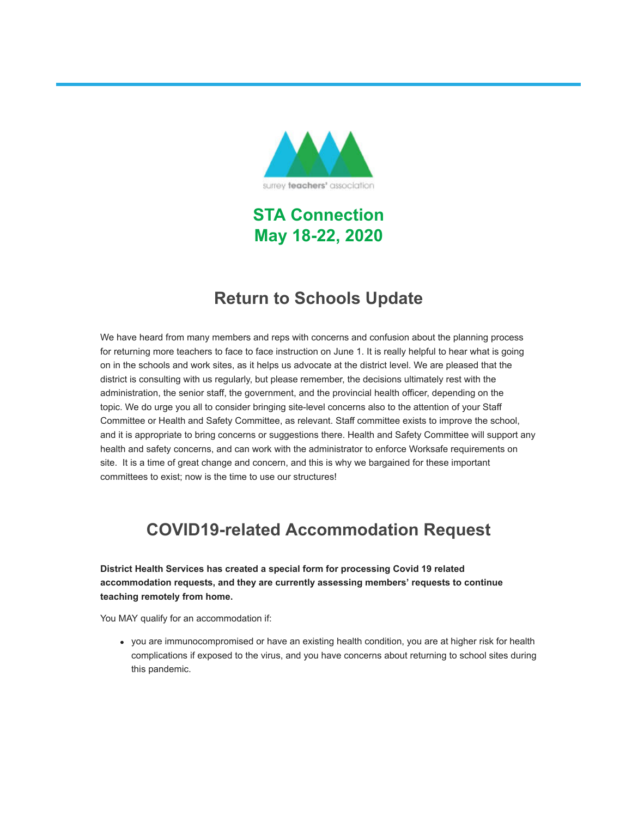

**STA Connection May 18-22, 2020**

# **Return to Schools Update**

We have heard from many members and reps with concerns and confusion about the planning process for returning more teachers to face to face instruction on June 1. It is really helpful to hear what is going on in the schools and work sites, as it helps us advocate at the district level. We are pleased that the district is consulting with us regularly, but please remember, the decisions ultimately rest with the administration, the senior staff, the government, and the provincial health officer, depending on the topic. We do urge you all to consider bringing site-level concerns also to the attention of your Staff Committee or Health and Safety Committee, as relevant. Staff committee exists to improve the school, and it is appropriate to bring concerns or suggestions there. Health and Safety Committee will support any health and safety concerns, and can work with the administrator to enforce Worksafe requirements on site. It is a time of great change and concern, and this is why we bargained for these important committees to exist; now is the time to use our structures!

# **COVID19-related Accommodation Request**

**District Health Services has created a special form for processing Covid 19 related accommodation requests, and they are currently assessing members' requests to continue teaching remotely from home.** 

You MAY qualify for an accommodation if:

you are immunocompromised or have an existing health condition, you are at higher risk for health complications if exposed to the virus, and you have concerns about returning to school sites during this pandemic.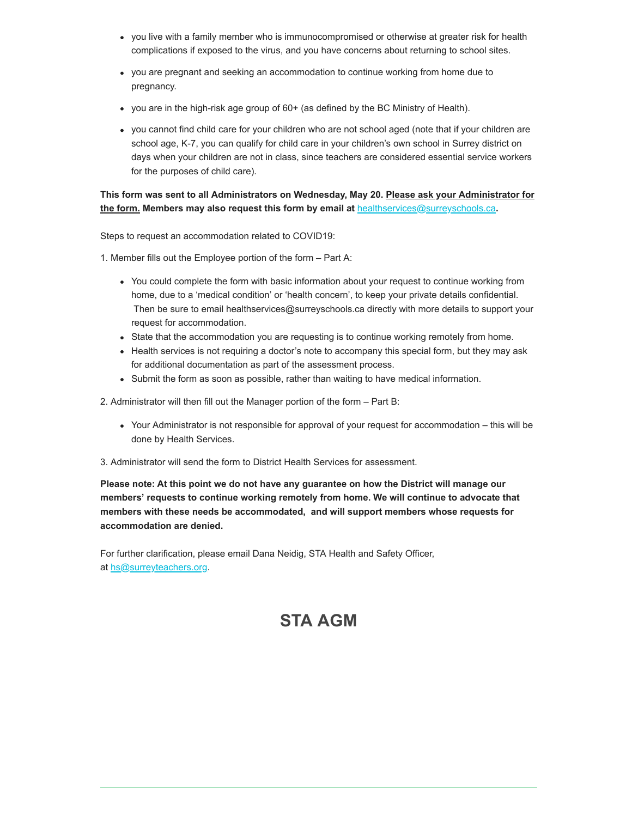- you live with a family member who is immunocompromised or otherwise at greater risk for health complications if exposed to the virus, and you have concerns about returning to school sites.
- you are pregnant and seeking an accommodation to continue working from home due to pregnancy.
- you are in the high-risk age group of 60+ (as defined by the BC Ministry of Health).
- you cannot find child care for your children who are not school aged (note that if your children are school age, K-7, you can qualify for child care in your children's own school in Surrey district on days when your children are not in class, since teachers are considered essential service workers for the purposes of child care).

#### **This form was sent to all Administrators on Wednesday, May 20. Please ask your Administrator for the form. Members may also request this form by email at [healthservices@surreyschools.ca](mailto:healthservices@surreyschools.ca)**.

Steps to request an accommodation related to COVID19:

1. Member fills out the Employee portion of the form – Part A:

- You could complete the form with basic information about your request to continue working from home, due to a 'medical condition' or 'health concern', to keep your private details confidential. Then be sure to email healthservices@surreyschools.ca directly with more details to support your request for accommodation.
- State that the accommodation you are requesting is to continue working remotely from home.
- Health services is not requiring a doctor's note to accompany this special form, but they may ask for additional documentation as part of the assessment process.
- Submit the form as soon as possible, rather than waiting to have medical information.

2. Administrator will then fill out the Manager portion of the form – Part B:

- Your Administrator is not responsible for approval of your request for accommodation this will be done by Health Services.
- 3. Administrator will send the form to District Health Services for assessment.

#### **Please note: At this point we do not have any guarantee on how the District will manage our members' requests to continue working remotely from home. We will continue to advocate that members with these needs be accommodated, and will support members whose requests for accommodation are denied.**

For further clarification, please email Dana Neidig, STA Health and Safety Officer, at [hs@surreyteachers.org.](mailto:hs@surreyteachers.org)

# **STA AGM**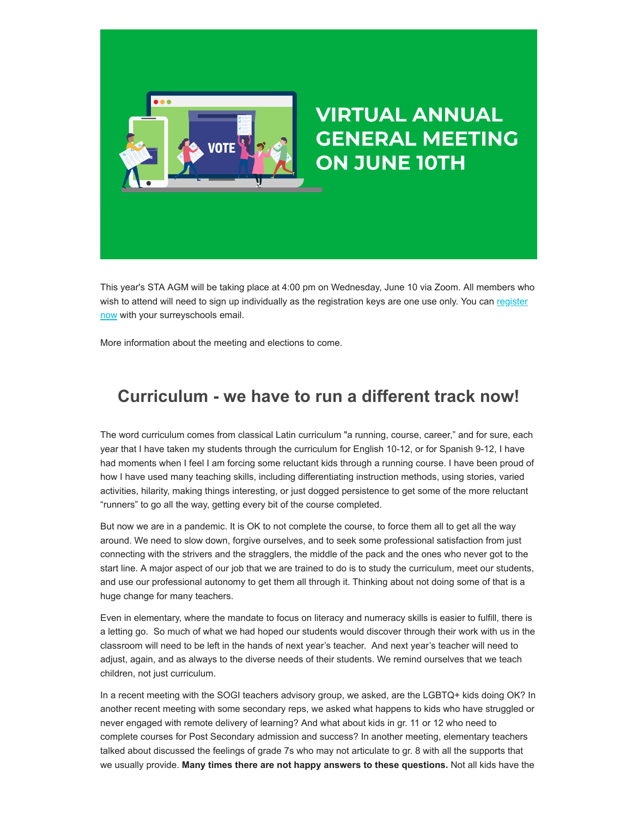

This year's STA AGM will be taking place at 4:00 pm on Wednesday, June 10 via Zoom. All members who [wish to attend will need to sign up individually as the registration keys are one use only. You can register](https://surreyteachers.us20.list-manage.com/track/click?u=37ec644ae87e34b54b3912660&id=ade6577ed7&e=7176ace922) now with your surreyschools email.

More information about the meeting and elections to come.

### **Curriculum - we have to run a different track now!**

The word curriculum comes from classical Latin curriculum "a running, course, career," and for sure, each year that I have taken my students through the curriculum for English 10-12, or for Spanish 9-12, I have had moments when I feel I am forcing some reluctant kids through a running course. I have been proud of how I have used many teaching skills, including differentiating instruction methods, using stories, varied activities, hilarity, making things interesting, or just dogged persistence to get some of the more reluctant "runners" to go all the way, getting every bit of the course completed.

But now we are in a pandemic. It is OK to not complete the course, to force them all to get all the way around. We need to slow down, forgive ourselves, and to seek some professional satisfaction from just connecting with the strivers and the stragglers, the middle of the pack and the ones who never got to the start line. A major aspect of our job that we are trained to do is to study the curriculum, meet our students, and use our professional autonomy to get them all through it. Thinking about not doing some of that is a huge change for many teachers.

Even in elementary, where the mandate to focus on literacy and numeracy skills is easier to fulfill, there is a letting go. So much of what we had hoped our students would discover through their work with us in the classroom will need to be left in the hands of next year's teacher. And next year's teacher will need to adjust, again, and as always to the diverse needs of their students. We remind ourselves that we teach children, not just curriculum.

In a recent meeting with the SOGI teachers advisory group, we asked, are the LGBTQ+ kids doing OK? In another recent meeting with some secondary reps, we asked what happens to kids who have struggled or never engaged with remote delivery of learning? And what about kids in gr. 11 or 12 who need to complete courses for Post Secondary admission and success? In another meeting, elementary teachers talked about discussed the feelings of grade 7s who may not articulate to gr. 8 with all the supports that we usually provide. **Many times there are not happy answers to these questions.** Not all kids have the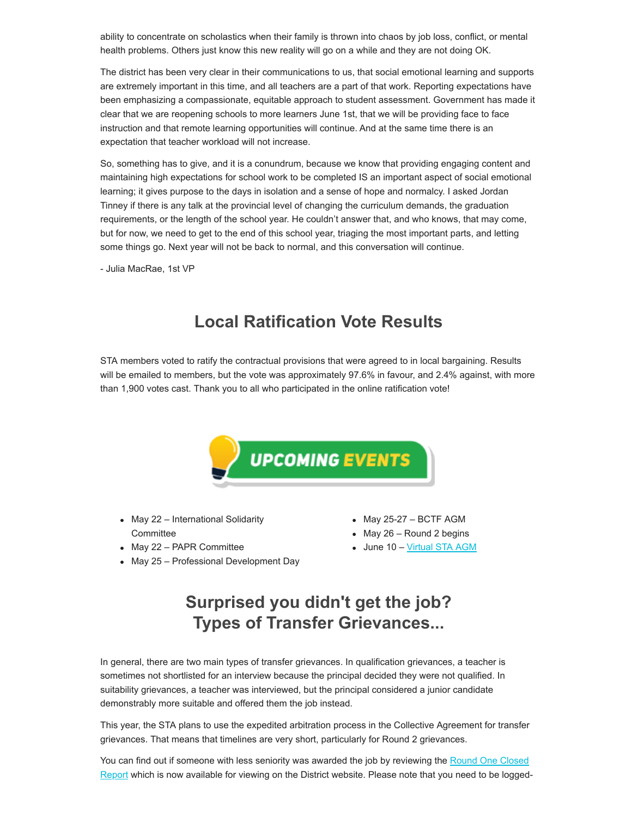ability to concentrate on scholastics when their family is thrown into chaos by job loss, conflict, or mental health problems. Others just know this new reality will go on a while and they are not doing OK.

The district has been very clear in their communications to us, that social emotional learning and supports are extremely important in this time, and all teachers are a part of that work. Reporting expectations have been emphasizing a compassionate, equitable approach to student assessment. Government has made it clear that we are reopening schools to more learners June 1st, that we will be providing face to face instruction and that remote learning opportunities will continue. And at the same time there is an expectation that teacher workload will not increase.

So, something has to give, and it is a conundrum, because we know that providing engaging content and maintaining high expectations for school work to be completed IS an important aspect of social emotional learning; it gives purpose to the days in isolation and a sense of hope and normalcy. I asked Jordan Tinney if there is any talk at the provincial level of changing the curriculum demands, the graduation requirements, or the length of the school year. He couldn't answer that, and who knows, that may come, but for now, we need to get to the end of this school year, triaging the most important parts, and letting some things go. Next year will not be back to normal, and this conversation will continue.

- Julia MacRae, 1st VP

## **Local Ratification Vote Results**

STA members voted to ratify the contractual provisions that were agreed to in local bargaining. Results will be emailed to members, but the vote was approximately 97.6% in favour, and 2.4% against, with more than 1,900 votes cast. Thank you to all who participated in the online ratification vote!



- May 22 International Solidarity **Committee**
- May 22 PAPR Committee
- May 25 Professional Development Day
- $\bullet$  May 25-27 BCTF AGM
- $•$  May 26 Round 2 begins
- June 10 - [Virtual STA AGM](https://surreyteachers.us20.list-manage.com/track/click?u=37ec644ae87e34b54b3912660&id=d60207c7cd&e=7176ace922)

# **Surprised you didn't get the job? Types of Transfer Grievances...**

In general, there are two main types of transfer grievances. In qualification grievances, a teacher is sometimes not shortlisted for an interview because the principal decided they were not qualified. In suitability grievances, a teacher was interviewed, but the principal considered a junior candidate demonstrably more suitable and offered them the job instead.

This year, the STA plans to use the expedited arbitration process in the Collective Agreement for transfer grievances. That means that timelines are very short, particularly for Round 2 grievances.

You can find out if someone with less seniority was awarded the job by reviewing the Round One Closed [Report which is now available for viewing on the District website. Please note that you need to be logged](https://surreyteachers.us20.list-manage.com/track/click?u=37ec644ae87e34b54b3912660&id=95f4895e4d&e=7176ace922)-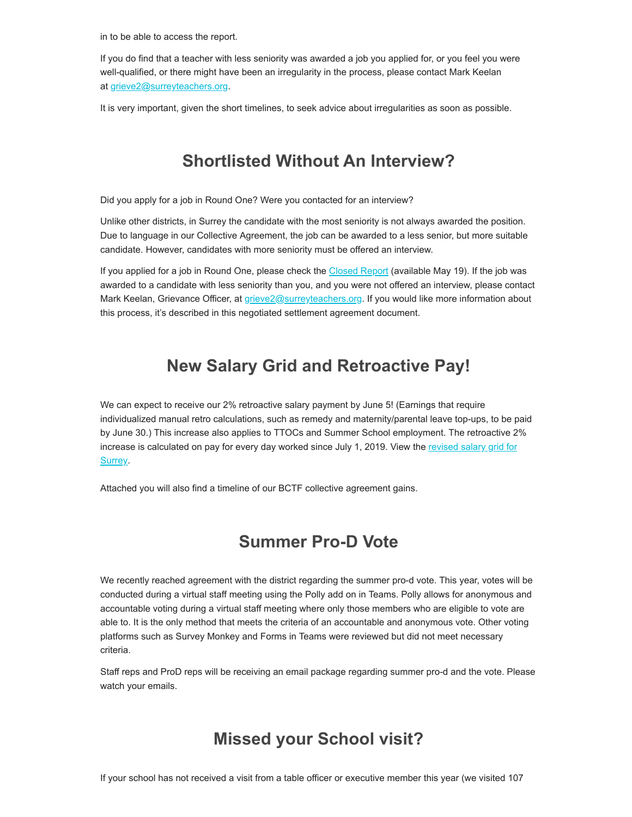in to be able to access the report.

If you do find that a teacher with less seniority was awarded a job you applied for, or you feel you were well-qualified, or there might have been an irregularity in the process, please contact Mark Keelan at [grieve2@surreyteachers.org.](mailto:grieve2@surreyteachers.org)

It is very important, given the short timelines, to seek advice about irregularities as soon as possible.

## **Shortlisted Without An Interview?**

Did you apply for a job in Round One? Were you contacted for an interview?

Unlike other districts, in Surrey the candidate with the most seniority is not always awarded the position. Due to language in our Collective Agreement, the job can be awarded to a less senior, but more suitable candidate. However, candidates with more seniority must be offered an interview.

If you applied for a job in Round One, please check the [Closed Report](https://surreyteachers.us20.list-manage.com/track/click?u=37ec644ae87e34b54b3912660&id=12241da959&e=7176ace922) (available May 19). If the job was awarded to a candidate with less seniority than you, and you were not offered an interview, please contact Mark Keelan, Grievance Officer, at *grieve2@surreyteachers.org*. If you would like more information about this process, it's described in this negotiated settlement agreement document.

### **New Salary Grid and Retroactive Pay!**

We can expect to receive our 2% retroactive salary payment by June 5! (Earnings that require individualized manual retro calculations, such as remedy and maternity/parental leave top-ups, to be paid by June 30.) This increase also applies to TTOCs and Summer School employment. The retroactive 2% [increase is calculated on pay for every day worked since July 1, 2019. View the revised salary grid for](https://surreyteachers.us20.list-manage.com/track/click?u=37ec644ae87e34b54b3912660&id=bfd7915639&e=7176ace922) Surrey.

Attached you will also find a timeline of our BCTF collective agreement gains.

## **Summer Pro-D Vote**

We recently reached agreement with the district regarding the summer pro-d vote. This year, votes will be conducted during a virtual staff meeting using the Polly add on in Teams. Polly allows for anonymous and accountable voting during a virtual staff meeting where only those members who are eligible to vote are able to. It is the only method that meets the criteria of an accountable and anonymous vote. Other voting platforms such as Survey Monkey and Forms in Teams were reviewed but did not meet necessary criteria.

Staff reps and ProD reps will be receiving an email package regarding summer pro-d and the vote. Please watch your emails.

### **Missed your School visit?**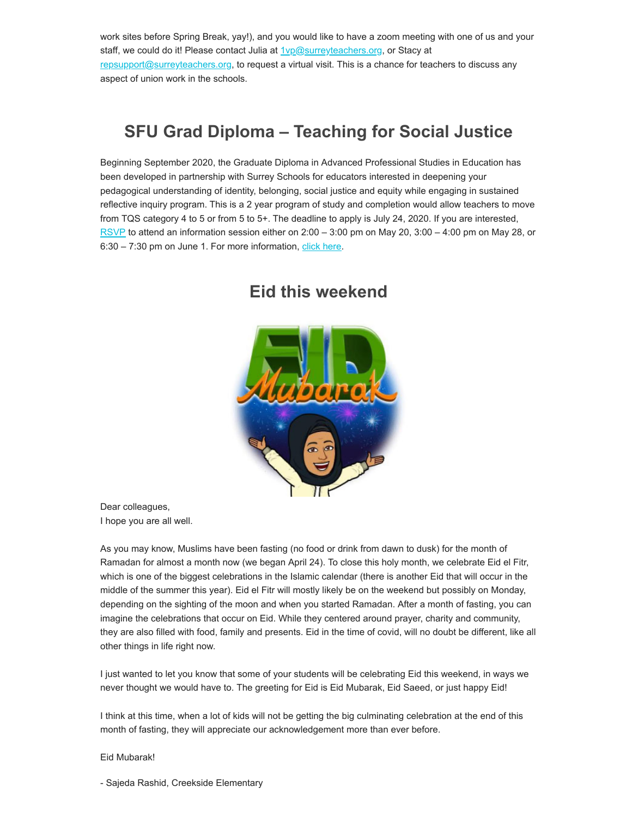work sites before Spring Break, yay!), and you would like to have a zoom meeting with one of us and your staff, we could do it! Please contact Julia at **[1vp@surreyteachers.org](mailto:1vp@surreyteachers.org)**, or Stacy at [repsupport@surreyteachers.org,](mailto:repsupport@surreyteachrs.org) to request a virtual visit. This is a chance for teachers to discuss any aspect of union work in the schools.

## **SFU Grad Diploma – Teaching for Social Justice**

Beginning September 2020, the Graduate Diploma in Advanced Professional Studies in Education has been developed in partnership with Surrey Schools for educators interested in deepening your pedagogical understanding of identity, belonging, social justice and equity while engaging in sustained reflective inquiry program. This is a 2 year program of study and completion would allow teachers to move from TQS category 4 to 5 or from 5 to 5+. The deadline to apply is July 24, 2020. If you are interested, [RSVP](https://surreyteachers.us20.list-manage.com/track/click?u=37ec644ae87e34b54b3912660&id=38558014b6&e=7176ace922) to attend an information session either on 2:00 – 3:00 pm on May 20, 3:00 – 4:00 pm on May 28, or 6:30 – 7:30 pm on June 1. For more information, [click here.](https://surreyteachers.us20.list-manage.com/track/click?u=37ec644ae87e34b54b3912660&id=f14fd56615&e=7176ace922)



#### **Eid this weekend**

Dear colleagues, I hope you are all well.

As you may know, Muslims have been fasting (no food or drink from dawn to dusk) for the month of Ramadan for almost a month now (we began April 24). To close this holy month, we celebrate Eid el Fitr, which is one of the biggest celebrations in the Islamic calendar (there is another Eid that will occur in the middle of the summer this year). Eid el Fitr will mostly likely be on the weekend but possibly on Monday, depending on the sighting of the moon and when you started Ramadan. After a month of fasting, you can imagine the celebrations that occur on Eid. While they centered around prayer, charity and community, they are also filled with food, family and presents. Eid in the time of covid, will no doubt be different, like all other things in life right now.

I just wanted to let you know that some of your students will be celebrating Eid this weekend, in ways we never thought we would have to. The greeting for Eid is Eid Mubarak, Eid Saeed, or just happy Eid!

I think at this time, when a lot of kids will not be getting the big culminating celebration at the end of this month of fasting, they will appreciate our acknowledgement more than ever before.

#### Eid Mubarak!

- Sajeda Rashid, Creekside Elementary